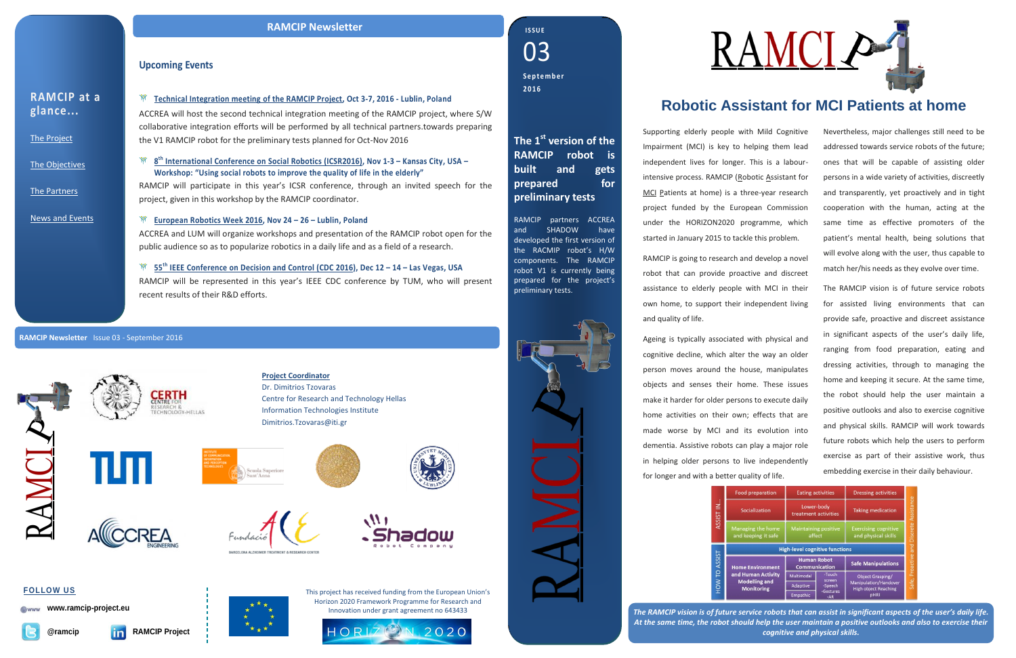*The RAMCIP vision is of future service robots that can assist in significant aspects of the user's daily life. At the same time, the robot should help the user maintain a positive outlooks and also to exercise their cognitive and physical skills.*

#### **Upcoming Events**

**Technical Integration meeting of the RAMCIP Project, Oct 3-7, 2016 - Lublin, Poland** ACCREA will host the second technical integration meeting of the RAMCIP project, where S/W collaborative integration efforts will be performed by all technical partners.towards preparing the V1 RAMCIP robot for the preliminary tests planned for Oct-Nov 2016

**8 th [International Conference on Social Robotics](http://icsr2016.engr.ku.edu/workshops.html) (ICSR2016), Nov 1-3 – Kansas City, USA – Workshop: "Using social robots to improve the quality of life in the elderly"**

RAMCIP will participate in this year's ICSR conference, through an invited speech for the project, given in this workshop by the RAMCIP coordinator.

#### **[European Robotics Week](http://2016.hci.international/) 2016, Nov 24 – 26 – Lublin, Poland**

ACCREA and LUM will organize workshops and presentation of the RAMCIP robot open for the public audience so as to popularize robotics in a daily life and as a field of a research.

**55th [IEEE Conference on Decision and Control \(CDC 2016\)](http://cdc2016.ieeecss.org/), Dec 12 – 14 – Las Vegas, USA** RAMCIP will be represented in this year's IEEE CDC conference by TUM, who will present recent results of their R&D efforts.

| <b>RAMCIP</b> at a |  |
|--------------------|--|
| glance             |  |

[The Project](http://www.ramcip-project.eu/ramcip/project/index.html)

[The Objectives](http://www.ramcip-project.eu/ramcip/content/ramcip-objectives)

[The Partners](http://ramcip-project.eu/ramcip/partners)

[News and Events](http://www.ramcip-project.eu/ramcip/news)

## **Robotic Assistant for MCI Patients at home**

Supporting elderly people with Mild Cognitive Impairment (MCI) is key to helping them lead independent lives for longer. This is a labourintensive process. RAMCIP (Robotic Assistant for MCI Patients at home) is a three-year research project funded by the European Commission under the HORIZON2020 programme, which started in January 2015 to tackle this problem.

RAMCIP is going to research and develop a novel robot that can provide proactive and discreet assistance to elderly people with MCI in their own home, to support their independent living and quality of life.

Ageing is typically associated with physical and cognitive decline, which alter the way an older person moves around the house, manipulates objects and senses their home. These issues make it harder for older persons to execute daily home activities on their own; effects that are made worse by MCI and its evolution into dementia. Assistive robots can play a major role in helping older persons to live independently for longer and with a better quality of life.



Nevertheless, major challenges still need to be addressed towards service robots of the future; ones that will be capable of assisting older persons in a wide variety of activities, discreetly and transparently, yet proactively and in tight cooperation with the human, acting at the same time as effective promoters of the patient's mental health, being solutions that will evolve along with the user, thus capable to match her/his needs as they evolve over time.

The RAMCIP vision is of future service robots for assisted living environments that can provide safe, proactive and discreet assistance in significant aspects of the user's daily life, ranging from food preparation, eating and dressing activities, through to managing the home and keeping it secure. At the same time, the robot should help the user maintain a positive outlooks and also to exercise cognitive and physical skills. RAMCIP will work towards future robots which help the users to perform exercise as part of their assistive work, thus embedding exercise in their daily behaviour.

| preparation                                     | <b>Eating activities</b>                   |                  | <b>Dressing activities</b>                         |                                   |
|-------------------------------------------------|--------------------------------------------|------------------|----------------------------------------------------|-----------------------------------|
| <b>ialization</b>                               | Lower-body<br>treatment activities         |                  | <b>Taking medication</b>                           |                                   |
| ing the home<br>eping it safe                   | <b>Maintaining positive</b><br>affect      |                  | <b>Exercising cognitive</b><br>and physical skills | Proactive and Discrete Assistance |
|                                                 | <b>High-level cognitive functions</b>      |                  |                                                    |                                   |
| <b>Environment</b>                              | <b>Human Robot</b><br><b>Communication</b> |                  | <b>Safe Manipulations</b>                          |                                   |
| man Activity<br>lelling and<br><b>onitoring</b> | Multimodal                                 | -Touch<br>screen | <b>Object Grasping/</b>                            |                                   |
|                                                 | Adaptive                                   | -Speech          | Manipulation/Handover                              | Safe,                             |
|                                                 |                                            | -Gestures        | <b>High object Reaching</b>                        |                                   |

#### **RAMCIP Newsletter** Issue 03 - September 2016





#### **RAMCIP Newsletter**

**Project Coordinator** Dr. Dimitrios Tzovaras Centre for Research and Technology Hellas Information Technologies Institute Dimitrios.Tzovaras@iti.gr











03 **I S S U E Se p t e m b e r 2016**

This project has received funding from the European Union's Horizon 2020 Framework Programme for Research and Innovation under grant agreement no 643433





**www.ramcip-project.eu**







**The 1 st version of the RAMCIP robot is built and gets prepared for preliminary tests**

RAMCIP partners ACCREA and SHADOW have developed the first version of the RACMIP robot's H/W components. The RAMCIP robot V1 is currently being prepared for the project's preliminary tests.